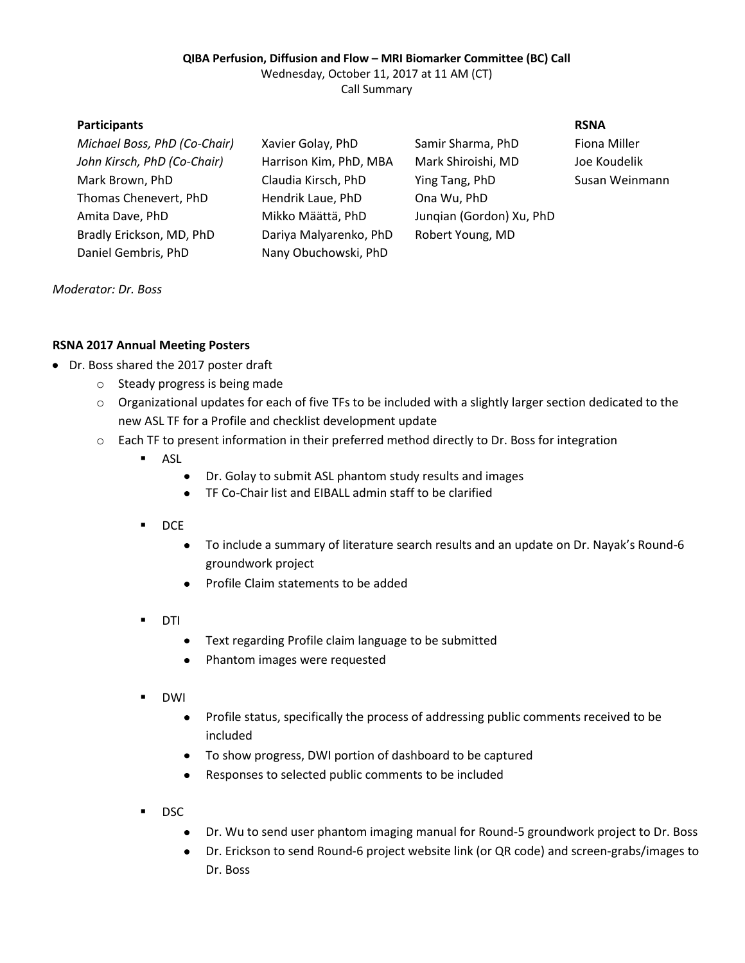## **QIBA Perfusion, Diffusion and Flow – MRI Biomarker Committee (BC) Call**

Wednesday, October 11, 2017 at 11 AM (CT) Call Summary

| <b>Participants</b>          |                        |                          | <b>RSNA</b>    |
|------------------------------|------------------------|--------------------------|----------------|
| Michael Boss, PhD (Co-Chair) | Xavier Golay, PhD      | Samir Sharma, PhD        | Fiona Miller   |
| John Kirsch, PhD (Co-Chair)  | Harrison Kim, PhD, MBA | Mark Shiroishi, MD       | Joe Koudelik   |
| Mark Brown, PhD              | Claudia Kirsch, PhD    | Ying Tang, PhD           | Susan Weinmann |
| Thomas Chenevert, PhD        | Hendrik Laue, PhD      | Ona Wu, PhD              |                |
| Amita Dave, PhD              | Mikko Määttä, PhD      | Jungian (Gordon) Xu, PhD |                |
| Bradly Erickson, MD, PhD     | Dariya Malyarenko, PhD | Robert Young, MD         |                |
| Daniel Gembris, PhD          | Nany Obuchowski, PhD   |                          |                |
|                              |                        |                          |                |

*Moderator: Dr. Boss*

## **RSNA 2017 Annual Meeting Posters**

- Dr. Boss shared the 2017 poster draft
	- o Steady progress is being made
	- $\circ$  Organizational updates for each of five TFs to be included with a slightly larger section dedicated to the new ASL TF for a Profile and checklist development update
	- o Each TF to present information in their preferred method directly to Dr. Boss for integration
		- **ASL** 
			- $\bullet$ Dr. Golay to submit ASL phantom study results and images
			- $\bullet$ TF Co-Chair list and EIBALL admin staff to be clarified
		- $\blacksquare$  DCE
			- $\bullet$ To include a summary of literature search results and an update on Dr. Nayak's Round-6 groundwork project
			- Profile Claim statements to be added
		- DTI
			- Text regarding Profile claim language to be submitted  $\bullet$
			- $\bullet$ Phantom images were requested
		- DWI
			- Profile status, specifically the process of addressing public comments received to be  $\bullet$ included
			- To show progress, DWI portion of dashboard to be captured
			- Responses to selected public comments to be included
		- DSC
			- Dr. Wu to send user phantom imaging manual for Round-5 groundwork project to Dr. Boss  $\bullet$
			- $\bullet$ Dr. Erickson to send Round-6 project website link (or QR code) and screen-grabs/images to Dr. Boss